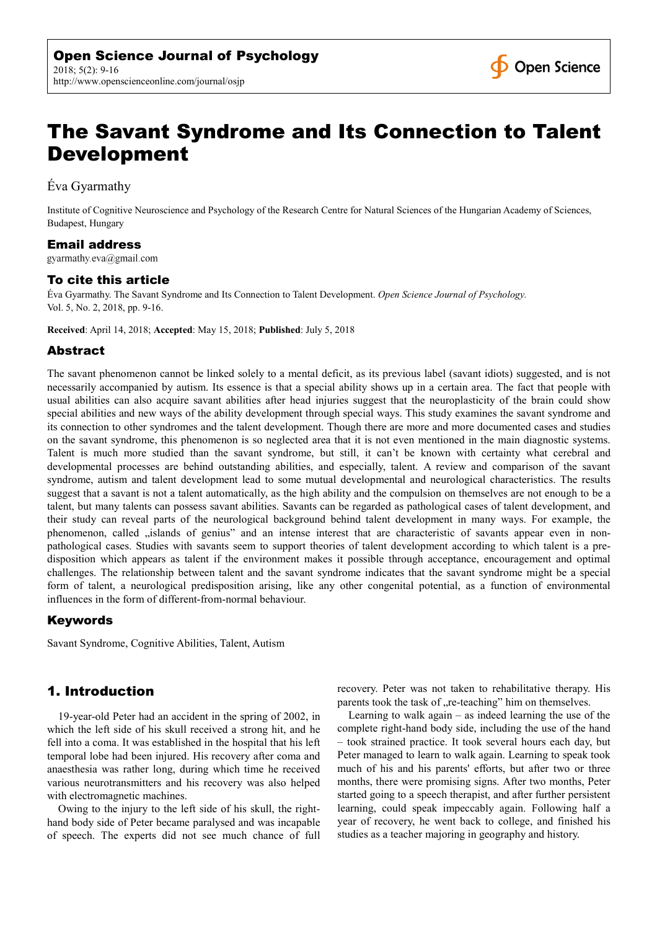

# The Savant Syndrome and Its Connection to Talent Development

Éva Gyarmathy

Institute of Cognitive Neuroscience and Psychology of the Research Centre for Natural Sciences of the Hungarian Academy of Sciences, Budapest, Hungary

# Email address

gyarmathy.eva@gmail.com

# To cite this article

Éva Gyarmathy. The Savant Syndrome and Its Connection to Talent Development. *Open Science Journal of Psychology.*  Vol. 5, No. 2, 2018, pp. 9-16.

**Received**: April 14, 2018; **Accepted**: May 15, 2018; **Published**: July 5, 2018

## Abstract

The savant phenomenon cannot be linked solely to a mental deficit, as its previous label (savant idiots) suggested, and is not necessarily accompanied by autism. Its essence is that a special ability shows up in a certain area. The fact that people with usual abilities can also acquire savant abilities after head injuries suggest that the neuroplasticity of the brain could show special abilities and new ways of the ability development through special ways. This study examines the savant syndrome and its connection to other syndromes and the talent development. Though there are more and more documented cases and studies on the savant syndrome, this phenomenon is so neglected area that it is not even mentioned in the main diagnostic systems. Talent is much more studied than the savant syndrome, but still, it can't be known with certainty what cerebral and developmental processes are behind outstanding abilities, and especially, talent. A review and comparison of the savant syndrome, autism and talent development lead to some mutual developmental and neurological characteristics. The results suggest that a savant is not a talent automatically, as the high ability and the compulsion on themselves are not enough to be a talent, but many talents can possess savant abilities. Savants can be regarded as pathological cases of talent development, and their study can reveal parts of the neurological background behind talent development in many ways. For example, the phenomenon, called "islands of genius" and an intense interest that are characteristic of savants appear even in nonpathological cases. Studies with savants seem to support theories of talent development according to which talent is a predisposition which appears as talent if the environment makes it possible through acceptance, encouragement and optimal challenges. The relationship between talent and the savant syndrome indicates that the savant syndrome might be a special form of talent, a neurological predisposition arising, like any other congenital potential, as a function of environmental influences in the form of different-from-normal behaviour.

## Keywords

Savant Syndrome, Cognitive Abilities, Talent, Autism

## 1. Introduction

19-year-old Peter had an accident in the spring of 2002, in which the left side of his skull received a strong hit, and he fell into a coma. It was established in the hospital that his left temporal lobe had been injured. His recovery after coma and anaesthesia was rather long, during which time he received various neurotransmitters and his recovery was also helped with electromagnetic machines.

Owing to the injury to the left side of his skull, the righthand body side of Peter became paralysed and was incapable of speech. The experts did not see much chance of full recovery. Peter was not taken to rehabilitative therapy. His parents took the task of "re-teaching" him on themselves.

Learning to walk again – as indeed learning the use of the complete right-hand body side, including the use of the hand – took strained practice. It took several hours each day, but Peter managed to learn to walk again. Learning to speak took much of his and his parents' efforts, but after two or three months, there were promising signs. After two months, Peter started going to a speech therapist, and after further persistent learning, could speak impeccably again. Following half a year of recovery, he went back to college, and finished his studies as a teacher majoring in geography and history.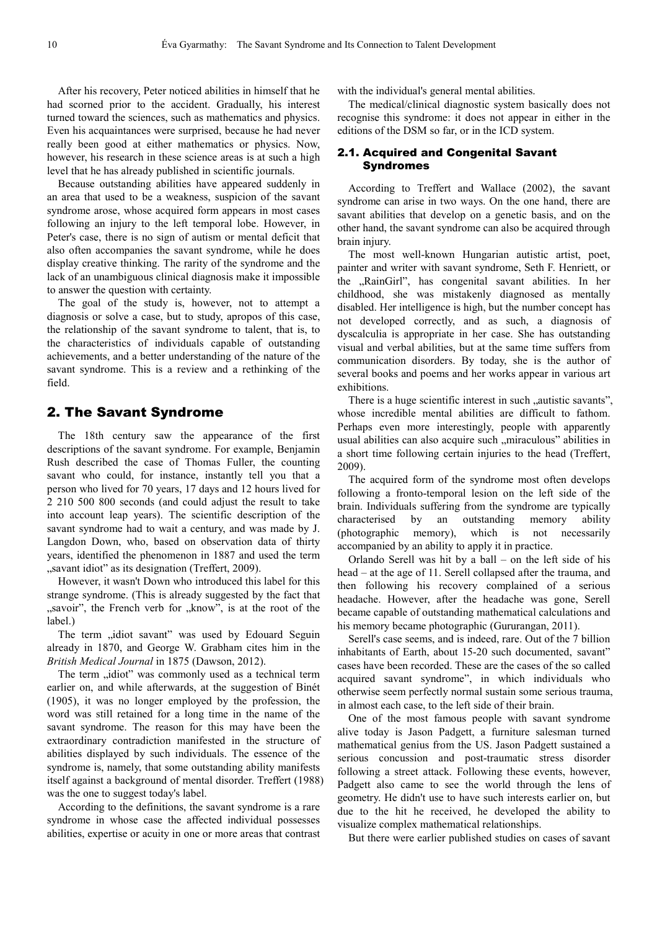After his recovery, Peter noticed abilities in himself that he had scorned prior to the accident. Gradually, his interest turned toward the sciences, such as mathematics and physics. Even his acquaintances were surprised, because he had never really been good at either mathematics or physics. Now, however, his research in these science areas is at such a high level that he has already published in scientific journals.

Because outstanding abilities have appeared suddenly in an area that used to be a weakness, suspicion of the savant syndrome arose, whose acquired form appears in most cases following an injury to the left temporal lobe. However, in Peter's case, there is no sign of autism or mental deficit that also often accompanies the savant syndrome, while he does display creative thinking. The rarity of the syndrome and the lack of an unambiguous clinical diagnosis make it impossible to answer the question with certainty.

The goal of the study is, however, not to attempt a diagnosis or solve a case, but to study, apropos of this case, the relationship of the savant syndrome to talent, that is, to the characteristics of individuals capable of outstanding achievements, and a better understanding of the nature of the savant syndrome. This is a review and a rethinking of the field.

# 2. The Savant Syndrome

The 18th century saw the appearance of the first descriptions of the savant syndrome. For example, Benjamin Rush described the case of Thomas Fuller, the counting savant who could, for instance, instantly tell you that a person who lived for 70 years, 17 days and 12 hours lived for 2 210 500 800 seconds (and could adjust the result to take into account leap years). The scientific description of the savant syndrome had to wait a century, and was made by J. Langdon Down, who, based on observation data of thirty years, identified the phenomenon in 1887 and used the term "savant idiot" as its designation (Treffert, 2009).

However, it wasn't Down who introduced this label for this strange syndrome. (This is already suggested by the fact that "savoir", the French verb for "know", is at the root of the label.)

The term "idiot savant" was used by Edouard Seguin already in 1870, and George W. Grabham cites him in the *British Medical Journal* in 1875 (Dawson, 2012).

The term "idiot" was commonly used as a technical term earlier on, and while afterwards, at the suggestion of Binét (1905), it was no longer employed by the profession, the word was still retained for a long time in the name of the savant syndrome. The reason for this may have been the extraordinary contradiction manifested in the structure of abilities displayed by such individuals. The essence of the syndrome is, namely, that some outstanding ability manifests itself against a background of mental disorder. Treffert (1988) was the one to suggest today's label.

According to the definitions, the savant syndrome is a rare syndrome in whose case the affected individual possesses abilities, expertise or acuity in one or more areas that contrast with the individual's general mental abilities.

The medical/clinical diagnostic system basically does not recognise this syndrome: it does not appear in either in the editions of the DSM so far, or in the ICD system.

#### 2.1. Acquired and Congenital Savant Syndromes

According to Treffert and Wallace (2002), the savant syndrome can arise in two ways. On the one hand, there are savant abilities that develop on a genetic basis, and on the other hand, the savant syndrome can also be acquired through brain injury.

The most well-known Hungarian autistic artist, poet, painter and writer with savant syndrome, Seth F. Henriett, or the "RainGirl", has congenital savant abilities. In her childhood, she was mistakenly diagnosed as mentally disabled. Her intelligence is high, but the number concept has not developed correctly, and as such, a diagnosis of dyscalculia is appropriate in her case. She has outstanding visual and verbal abilities, but at the same time suffers from communication disorders. By today, she is the author of several books and poems and her works appear in various art exhibitions.

There is a huge scientific interest in such "autistic savants", whose incredible mental abilities are difficult to fathom. Perhaps even more interestingly, people with apparently usual abilities can also acquire such "miraculous" abilities in a short time following certain injuries to the head (Treffert, 2009).

The acquired form of the syndrome most often develops following a fronto-temporal lesion on the left side of the brain. Individuals suffering from the syndrome are typically characterised by an outstanding memory ability (photographic memory), which is not necessarily accompanied by an ability to apply it in practice.

Orlando Serell was hit by a ball – on the left side of his head – at the age of 11. Serell collapsed after the trauma, and then following his recovery complained of a serious headache. However, after the headache was gone, Serell became capable of outstanding mathematical calculations and his memory became photographic (Gururangan, 2011).

Serell's case seems, and is indeed, rare. Out of the 7 billion inhabitants of Earth, about 15-20 such documented, savant" cases have been recorded. These are the cases of the so called acquired savant syndrome", in which individuals who otherwise seem perfectly normal sustain some serious trauma, in almost each case, to the left side of their brain.

One of the most famous people with savant syndrome alive today is Jason Padgett, a furniture salesman turned mathematical genius from the US. Jason Padgett sustained a serious concussion and post-traumatic stress disorder following a street attack. Following these events, however, Padgett also came to see the world through the lens of geometry. He didn't use to have such interests earlier on, but due to the hit he received, he developed the ability to visualize complex mathematical relationships.

But there were earlier published studies on cases of savant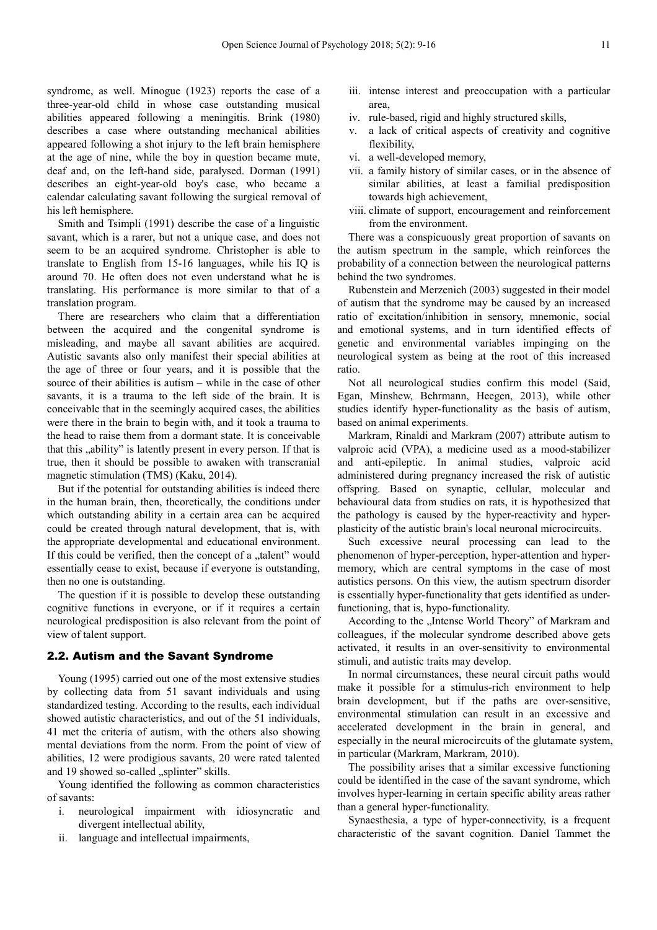syndrome, as well. Minogue (1923) reports the case of a three-year-old child in whose case outstanding musical abilities appeared following a meningitis. Brink (1980) describes a case where outstanding mechanical abilities appeared following a shot injury to the left brain hemisphere at the age of nine, while the boy in question became mute, deaf and, on the left-hand side, paralysed. Dorman (1991) describes an eight-year-old boy's case, who became a calendar calculating savant following the surgical removal of his left hemisphere.

Smith and Tsimpli (1991) describe the case of a linguistic savant, which is a rarer, but not a unique case, and does not seem to be an acquired syndrome. Christopher is able to translate to English from 15-16 languages, while his IQ is around 70. He often does not even understand what he is translating. His performance is more similar to that of a translation program.

There are researchers who claim that a differentiation between the acquired and the congenital syndrome is misleading, and maybe all savant abilities are acquired. Autistic savants also only manifest their special abilities at the age of three or four years, and it is possible that the source of their abilities is autism – while in the case of other savants, it is a trauma to the left side of the brain. It is conceivable that in the seemingly acquired cases, the abilities were there in the brain to begin with, and it took a trauma to the head to raise them from a dormant state. It is conceivable that this "ability" is latently present in every person. If that is true, then it should be possible to awaken with transcranial magnetic stimulation (TMS) (Kaku, 2014).

But if the potential for outstanding abilities is indeed there in the human brain, then, theoretically, the conditions under which outstanding ability in a certain area can be acquired could be created through natural development, that is, with the appropriate developmental and educational environment. If this could be verified, then the concept of a "talent" would essentially cease to exist, because if everyone is outstanding, then no one is outstanding.

The question if it is possible to develop these outstanding cognitive functions in everyone, or if it requires a certain neurological predisposition is also relevant from the point of view of talent support.

#### 2.2. Autism and the Savant Syndrome

Young (1995) carried out one of the most extensive studies by collecting data from 51 savant individuals and using standardized testing. According to the results, each individual showed autistic characteristics, and out of the 51 individuals, 41 met the criteria of autism, with the others also showing mental deviations from the norm. From the point of view of abilities, 12 were prodigious savants, 20 were rated talented and 19 showed so-called "splinter" skills.

Young identified the following as common characteristics of savants:

- i. neurological impairment with idiosyncratic and divergent intellectual ability,
- ii. language and intellectual impairments,
- iii. intense interest and preoccupation with a particular area,
- iv. rule-based, rigid and highly structured skills,
- v. a lack of critical aspects of creativity and cognitive flexibility,
- vi. a well-developed memory,
- vii. a family history of similar cases, or in the absence of similar abilities, at least a familial predisposition towards high achievement,
- viii. climate of support, encouragement and reinforcement from the environment.

There was a conspicuously great proportion of savants on the autism spectrum in the sample, which reinforces the probability of a connection between the neurological patterns behind the two syndromes.

Rubenstein and Merzenich (2003) suggested in their model of autism that the syndrome may be caused by an increased ratio of excitation/inhibition in sensory, mnemonic, social and emotional systems, and in turn identified effects of genetic and environmental variables impinging on the neurological system as being at the root of this increased ratio.

Not all neurological studies confirm this model (Said, Egan, Minshew, Behrmann, Heegen, 2013), while other studies identify hyper-functionality as the basis of autism, based on animal experiments.

Markram, Rinaldi and Markram (2007) attribute autism to valproic acid (VPA), a medicine used as a mood-stabilizer and anti-epileptic. In animal studies, valproic acid administered during pregnancy increased the risk of autistic offspring. Based on synaptic, cellular, molecular and behavioural data from studies on rats, it is hypothesized that the pathology is caused by the hyper-reactivity and hyperplasticity of the autistic brain's local neuronal microcircuits.

Such excessive neural processing can lead to the phenomenon of hyper-perception, hyper-attention and hypermemory, which are central symptoms in the case of most autistics persons. On this view, the autism spectrum disorder is essentially hyper-functionality that gets identified as underfunctioning, that is, hypo-functionality.

According to the "Intense World Theory" of Markram and colleagues, if the molecular syndrome described above gets activated, it results in an over-sensitivity to environmental stimuli, and autistic traits may develop.

In normal circumstances, these neural circuit paths would make it possible for a stimulus-rich environment to help brain development, but if the paths are over-sensitive, environmental stimulation can result in an excessive and accelerated development in the brain in general, and especially in the neural microcircuits of the glutamate system, in particular (Markram, Markram, 2010).

The possibility arises that a similar excessive functioning could be identified in the case of the savant syndrome, which involves hyper-learning in certain specific ability areas rather than a general hyper-functionality.

Synaesthesia, a type of hyper-connectivity, is a frequent characteristic of the savant cognition. Daniel Tammet the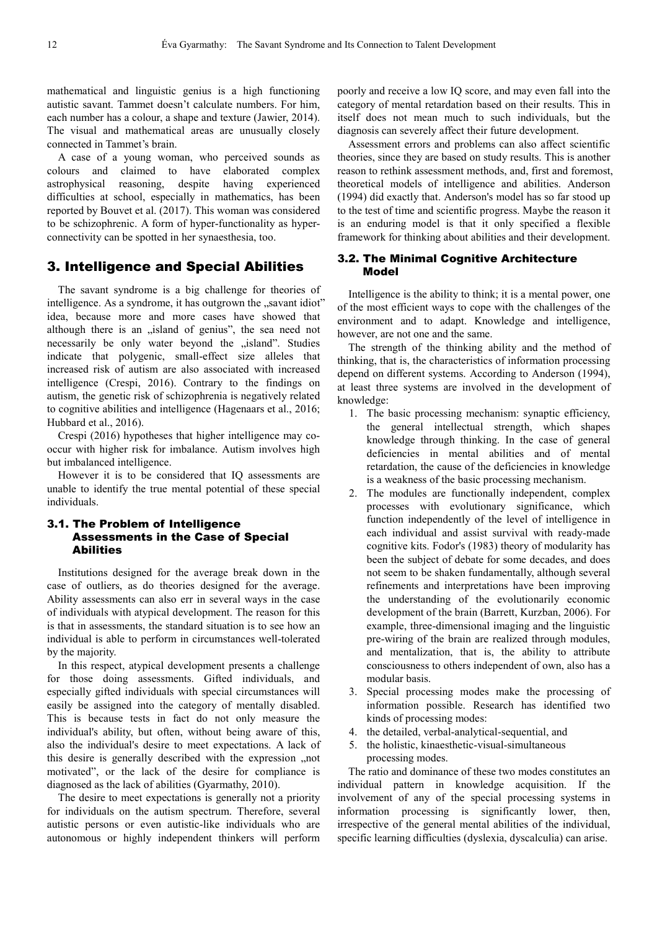mathematical and linguistic genius is a high functioning autistic savant. Tammet doesn't calculate numbers. For him, each number has a colour, a shape and texture (Jawier, 2014). The visual and mathematical areas are unusually closely connected in Tammet's brain.

A case of a young woman, who perceived sounds as colours and claimed to have elaborated complex astrophysical reasoning, despite having experienced difficulties at school, especially in mathematics, has been reported by Bouvet et al. (2017). This woman was considered to be schizophrenic. A form of hyper-functionality as hyperconnectivity can be spotted in her synaesthesia, too.

# 3. Intelligence and Special Abilities

The savant syndrome is a big challenge for theories of intelligence. As a syndrome, it has outgrown the "savant idiot" idea, because more and more cases have showed that although there is an "island of genius", the sea need not necessarily be only water beyond the "island". Studies indicate that polygenic, small-effect size alleles that increased risk of autism are also associated with increased intelligence (Crespi, 2016). Contrary to the findings on autism, the genetic risk of schizophrenia is negatively related to cognitive abilities and intelligence (Hagenaars et al., 2016; Hubbard et al., 2016).

Crespi (2016) hypotheses that higher intelligence may cooccur with higher risk for imbalance. Autism involves high but imbalanced intelligence.

However it is to be considered that IQ assessments are unable to identify the true mental potential of these special individuals.

#### 3.1. The Problem of Intelligence Assessments in the Case of Special Abilities

Institutions designed for the average break down in the case of outliers, as do theories designed for the average. Ability assessments can also err in several ways in the case of individuals with atypical development. The reason for this is that in assessments, the standard situation is to see how an individual is able to perform in circumstances well-tolerated by the majority.

In this respect, atypical development presents a challenge for those doing assessments. Gifted individuals, and especially gifted individuals with special circumstances will easily be assigned into the category of mentally disabled. This is because tests in fact do not only measure the individual's ability, but often, without being aware of this, also the individual's desire to meet expectations. A lack of this desire is generally described with the expression "not motivated", or the lack of the desire for compliance is diagnosed as the lack of abilities (Gyarmathy, 2010).

The desire to meet expectations is generally not a priority for individuals on the autism spectrum. Therefore, several autistic persons or even autistic-like individuals who are autonomous or highly independent thinkers will perform

poorly and receive a low IQ score, and may even fall into the category of mental retardation based on their results. This in itself does not mean much to such individuals, but the diagnosis can severely affect their future development.

Assessment errors and problems can also affect scientific theories, since they are based on study results. This is another reason to rethink assessment methods, and, first and foremost, theoretical models of intelligence and abilities. Anderson (1994) did exactly that. Anderson's model has so far stood up to the test of time and scientific progress. Maybe the reason it is an enduring model is that it only specified a flexible framework for thinking about abilities and their development.

## 3.2. The Minimal Cognitive Architecture Model

Intelligence is the ability to think; it is a mental power, one of the most efficient ways to cope with the challenges of the environment and to adapt. Knowledge and intelligence, however, are not one and the same.

The strength of the thinking ability and the method of thinking, that is, the characteristics of information processing depend on different systems. According to Anderson (1994), at least three systems are involved in the development of knowledge:

- 1. The basic processing mechanism: synaptic efficiency, the general intellectual strength, which shapes knowledge through thinking. In the case of general deficiencies in mental abilities and of mental retardation, the cause of the deficiencies in knowledge is a weakness of the basic processing mechanism.
- 2. The modules are functionally independent, complex processes with evolutionary significance, which function independently of the level of intelligence in each individual and assist survival with ready-made cognitive kits. Fodor's (1983) theory of modularity has been the subject of debate for some decades, and does not seem to be shaken fundamentally, although several refinements and interpretations have been improving the understanding of the evolutionarily economic development of the brain (Barrett, Kurzban, 2006). For example, three-dimensional imaging and the linguistic pre-wiring of the brain are realized through modules, and mentalization, that is, the ability to attribute consciousness to others independent of own, also has a modular basis.
- 3. Special processing modes make the processing of information possible. Research has identified two kinds of processing modes:
- 4. the detailed, verbal-analytical-sequential, and
- 5. the holistic, kinaesthetic-visual-simultaneous processing modes.

The ratio and dominance of these two modes constitutes an individual pattern in knowledge acquisition. If the involvement of any of the special processing systems in information processing is significantly lower, then, irrespective of the general mental abilities of the individual, specific learning difficulties (dyslexia, dyscalculia) can arise.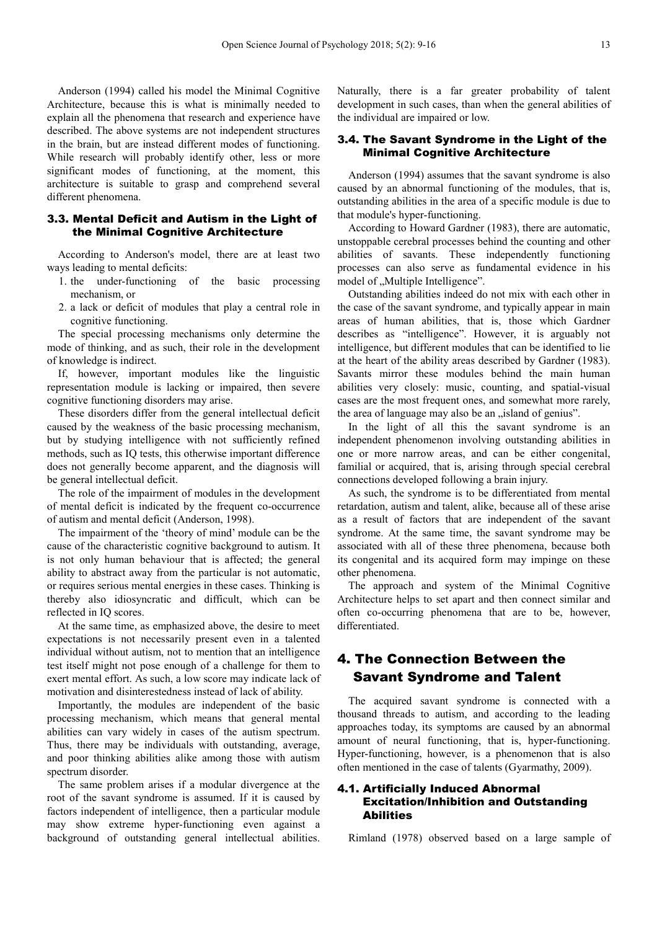Anderson (1994) called his model the Minimal Cognitive Architecture, because this is what is minimally needed to explain all the phenomena that research and experience have described. The above systems are not independent structures in the brain, but are instead different modes of functioning. While research will probably identify other, less or more significant modes of functioning, at the moment, this architecture is suitable to grasp and comprehend several different phenomena.

#### 3.3. Mental Deficit and Autism in the Light of the Minimal Cognitive Architecture

According to Anderson's model, there are at least two ways leading to mental deficits:

- 1. the under-functioning of the basic processing mechanism, or
- 2. a lack or deficit of modules that play a central role in cognitive functioning.

The special processing mechanisms only determine the mode of thinking, and as such, their role in the development of knowledge is indirect.

If, however, important modules like the linguistic representation module is lacking or impaired, then severe cognitive functioning disorders may arise.

These disorders differ from the general intellectual deficit caused by the weakness of the basic processing mechanism, but by studying intelligence with not sufficiently refined methods, such as IQ tests, this otherwise important difference does not generally become apparent, and the diagnosis will be general intellectual deficit.

The role of the impairment of modules in the development of mental deficit is indicated by the frequent co-occurrence of autism and mental deficit (Anderson, 1998).

The impairment of the 'theory of mind' module can be the cause of the characteristic cognitive background to autism. It is not only human behaviour that is affected; the general ability to abstract away from the particular is not automatic, or requires serious mental energies in these cases. Thinking is thereby also idiosyncratic and difficult, which can be reflected in IQ scores.

At the same time, as emphasized above, the desire to meet expectations is not necessarily present even in a talented individual without autism, not to mention that an intelligence test itself might not pose enough of a challenge for them to exert mental effort. As such, a low score may indicate lack of motivation and disinterestedness instead of lack of ability.

Importantly, the modules are independent of the basic processing mechanism, which means that general mental abilities can vary widely in cases of the autism spectrum. Thus, there may be individuals with outstanding, average, and poor thinking abilities alike among those with autism spectrum disorder.

The same problem arises if a modular divergence at the root of the savant syndrome is assumed. If it is caused by factors independent of intelligence, then a particular module may show extreme hyper-functioning even against a background of outstanding general intellectual abilities. Naturally, there is a far greater probability of talent development in such cases, than when the general abilities of the individual are impaired or low.

#### 3.4. The Savant Syndrome in the Light of the Minimal Cognitive Architecture

Anderson (1994) assumes that the savant syndrome is also caused by an abnormal functioning of the modules, that is, outstanding abilities in the area of a specific module is due to that module's hyper-functioning.

According to Howard Gardner (1983), there are automatic, unstoppable cerebral processes behind the counting and other abilities of savants. These independently functioning processes can also serve as fundamental evidence in his model of "Multiple Intelligence".

Outstanding abilities indeed do not mix with each other in the case of the savant syndrome, and typically appear in main areas of human abilities, that is, those which Gardner describes as "intelligence". However, it is arguably not intelligence, but different modules that can be identified to lie at the heart of the ability areas described by Gardner (1983). Savants mirror these modules behind the main human abilities very closely: music, counting, and spatial-visual cases are the most frequent ones, and somewhat more rarely, the area of language may also be an , island of genius".

In the light of all this the savant syndrome is an independent phenomenon involving outstanding abilities in one or more narrow areas, and can be either congenital, familial or acquired, that is, arising through special cerebral connections developed following a brain injury.

As such, the syndrome is to be differentiated from mental retardation, autism and talent, alike, because all of these arise as a result of factors that are independent of the savant syndrome. At the same time, the savant syndrome may be associated with all of these three phenomena, because both its congenital and its acquired form may impinge on these other phenomena.

The approach and system of the Minimal Cognitive Architecture helps to set apart and then connect similar and often co-occurring phenomena that are to be, however, differentiated.

# 4. The Connection Between the Savant Syndrome and Talent

The acquired savant syndrome is connected with a thousand threads to autism, and according to the leading approaches today, its symptoms are caused by an abnormal amount of neural functioning, that is, hyper-functioning. Hyper-functioning, however, is a phenomenon that is also often mentioned in the case of talents (Gyarmathy, 2009).

## 4.1. Artificially Induced Abnormal Excitation/Inhibition and Outstanding Abilities

Rimland (1978) observed based on a large sample of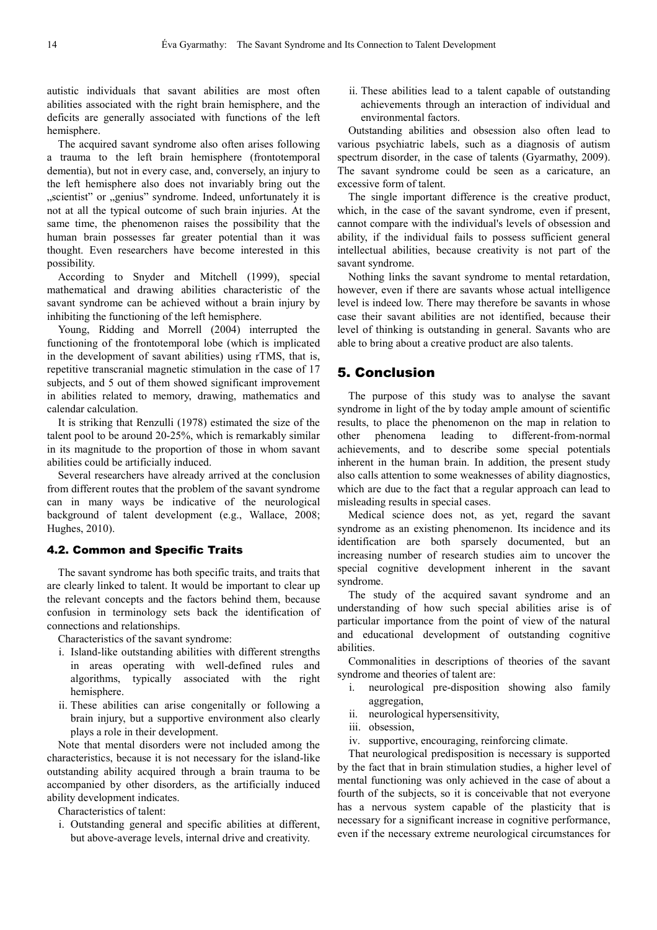autistic individuals that savant abilities are most often abilities associated with the right brain hemisphere, and the deficits are generally associated with functions of the left hemisphere.

The acquired savant syndrome also often arises following a trauma to the left brain hemisphere (frontotemporal dementia), but not in every case, and, conversely, an injury to the left hemisphere also does not invariably bring out the "scientist" or "genius" syndrome. Indeed, unfortunately it is not at all the typical outcome of such brain injuries. At the same time, the phenomenon raises the possibility that the human brain possesses far greater potential than it was thought. Even researchers have become interested in this possibility.

According to Snyder and Mitchell (1999), special mathematical and drawing abilities characteristic of the savant syndrome can be achieved without a brain injury by inhibiting the functioning of the left hemisphere.

Young, Ridding and Morrell (2004) interrupted the functioning of the frontotemporal lobe (which is implicated in the development of savant abilities) using rTMS, that is, repetitive transcranial magnetic stimulation in the case of 17 subjects, and 5 out of them showed significant improvement in abilities related to memory, drawing, mathematics and calendar calculation.

It is striking that Renzulli (1978) estimated the size of the talent pool to be around 20-25%, which is remarkably similar in its magnitude to the proportion of those in whom savant abilities could be artificially induced.

Several researchers have already arrived at the conclusion from different routes that the problem of the savant syndrome can in many ways be indicative of the neurological background of talent development (e.g., Wallace, 2008; Hughes, 2010).

#### 4.2. Common and Specific Traits

The savant syndrome has both specific traits, and traits that are clearly linked to talent. It would be important to clear up the relevant concepts and the factors behind them, because confusion in terminology sets back the identification of connections and relationships.

Characteristics of the savant syndrome:

- i. Island-like outstanding abilities with different strengths in areas operating with well-defined rules and algorithms, typically associated with the right hemisphere.
- ii. These abilities can arise congenitally or following a brain injury, but a supportive environment also clearly plays a role in their development.

Note that mental disorders were not included among the characteristics, because it is not necessary for the island-like outstanding ability acquired through a brain trauma to be accompanied by other disorders, as the artificially induced ability development indicates.

Characteristics of talent:

i. Outstanding general and specific abilities at different, but above-average levels, internal drive and creativity.

ii. These abilities lead to a talent capable of outstanding achievements through an interaction of individual and environmental factors.

Outstanding abilities and obsession also often lead to various psychiatric labels, such as a diagnosis of autism spectrum disorder, in the case of talents (Gyarmathy, 2009). The savant syndrome could be seen as a caricature, an excessive form of talent.

The single important difference is the creative product, which, in the case of the savant syndrome, even if present, cannot compare with the individual's levels of obsession and ability, if the individual fails to possess sufficient general intellectual abilities, because creativity is not part of the savant syndrome.

Nothing links the savant syndrome to mental retardation, however, even if there are savants whose actual intelligence level is indeed low. There may therefore be savants in whose case their savant abilities are not identified, because their level of thinking is outstanding in general. Savants who are able to bring about a creative product are also talents.

# 5. Conclusion

The purpose of this study was to analyse the savant syndrome in light of the by today ample amount of scientific results, to place the phenomenon on the map in relation to other phenomena leading to different-from-normal achievements, and to describe some special potentials inherent in the human brain. In addition, the present study also calls attention to some weaknesses of ability diagnostics, which are due to the fact that a regular approach can lead to misleading results in special cases.

Medical science does not, as yet, regard the savant syndrome as an existing phenomenon. Its incidence and its identification are both sparsely documented, but an increasing number of research studies aim to uncover the special cognitive development inherent in the savant syndrome.

The study of the acquired savant syndrome and an understanding of how such special abilities arise is of particular importance from the point of view of the natural and educational development of outstanding cognitive abilities.

Commonalities in descriptions of theories of the savant syndrome and theories of talent are:

- i. neurological pre-disposition showing also family aggregation,
- ii. neurological hypersensitivity,
- iii. obsession,
- iv. supportive, encouraging, reinforcing climate.

That neurological predisposition is necessary is supported by the fact that in brain stimulation studies, a higher level of mental functioning was only achieved in the case of about a fourth of the subjects, so it is conceivable that not everyone has a nervous system capable of the plasticity that is necessary for a significant increase in cognitive performance, even if the necessary extreme neurological circumstances for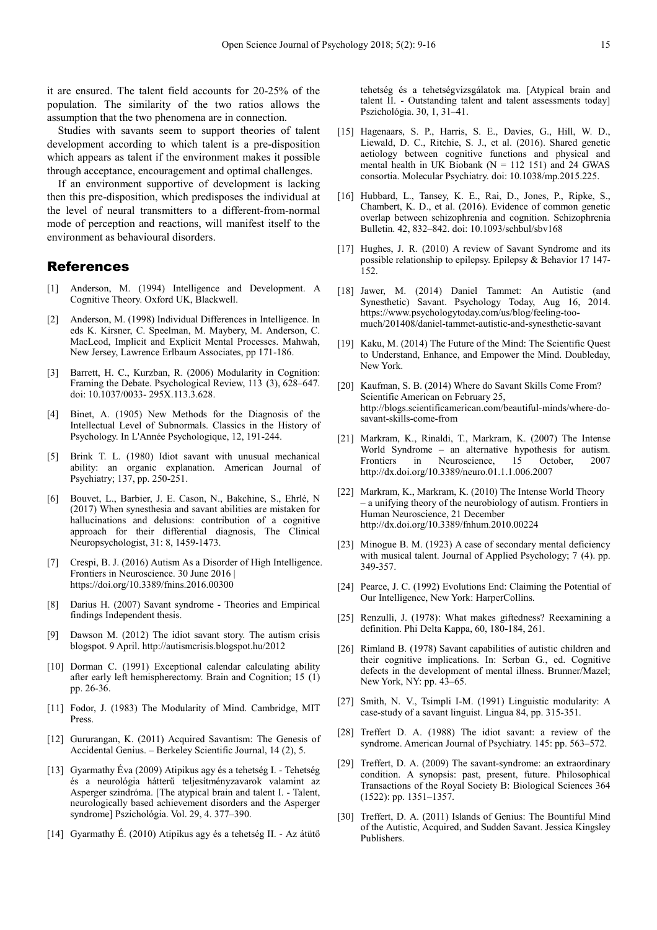it are ensured. The talent field accounts for 20-25% of the population. The similarity of the two ratios allows the assumption that the two phenomena are in connection.

Studies with savants seem to support theories of talent development according to which talent is a pre-disposition which appears as talent if the environment makes it possible through acceptance, encouragement and optimal challenges.

If an environment supportive of development is lacking then this pre-disposition, which predisposes the individual at the level of neural transmitters to a different-from-normal mode of perception and reactions, will manifest itself to the environment as behavioural disorders.

## References

- [1] Anderson, M. (1994) Intelligence and Development. A Cognitive Theory. Oxford UK, Blackwell.
- [2] Anderson, M. (1998) Individual Differences in Intelligence. In eds K. Kirsner, C. Speelman, M. Maybery, M. Anderson, C. MacLeod, Implicit and Explicit Mental Processes. Mahwah, New Jersey, Lawrence Erlbaum Associates, pp 171-186.
- [3] Barrett, H. C., Kurzban, R. (2006) Modularity in Cognition: Framing the Debate. Psychological Review, 113 (3), 628–647. doi: 10.1037/0033- 295X.113.3.628.
- Binet, A. (1905) New Methods for the Diagnosis of the Intellectual Level of Subnormals. Classics in the History of Psychology. In L'Année Psychologique, 12, 191-244.
- [5] Brink T. L. (1980) Idiot savant with unusual mechanical ability: an organic explanation. American Journal of Psychiatry; 137, pp. 250-251.
- [6] Bouvet, L., Barbier, J. E. Cason, N., Bakchine, S., Ehrlé, N (2017) When synesthesia and savant abilities are mistaken for hallucinations and delusions: contribution of a cognitive approach for their differential diagnosis, The Clinical Neuropsychologist, 31: 8, 1459-1473.
- [7] Crespi, B. J. (2016) Autism As a Disorder of High Intelligence. Frontiers in Neuroscience. 30 June 2016 | https://doi.org/10.3389/fnins.2016.00300
- [8] Darius H. (2007) Savant syndrome Theories and Empirical findings Independent thesis.
- [9] Dawson M. (2012) The idiot savant story. The autism crisis blogspot. 9 April. http://autismcrisis.blogspot.hu/2012
- [10] Dorman C. (1991) Exceptional calendar calculating ability after early left hemispherectomy. Brain and Cognition; 15 (1) pp. 26-36.
- [11] Fodor, J. (1983) The Modularity of Mind. Cambridge, MIT Press.
- [12] Gururangan, K. (2011) Acquired Savantism: The Genesis of Accidental Genius. – Berkeley Scientific Journal, 14 (2), 5.
- [13] Gyarmathy Éva (2009) Atipikus agy és a tehetség I. Tehetség és a neurológia hátterű teljesítményzavarok valamint az Asperger szindróma. [The atypical brain and talent I. - Talent, neurologically based achievement disorders and the Asperger syndrome] Pszichológia. Vol. 29, 4. 377–390.
- [14] Gyarmathy É. (2010) Atipikus agy és a tehetség II. Az átütő

tehetség és a tehetségvizsgálatok ma. [Atypical brain and talent II. - Outstanding talent and talent assessments today] Pszichológia. 30, 1, 31–41.

- [15] Hagenaars, S. P., Harris, S. E., Davies, G., Hill, W. D., Liewald, D. C., Ritchie, S. J., et al. (2016). Shared genetic aetiology between cognitive functions and physical and mental health in UK Biobank ( $N = 112$  151) and 24 GWAS consortia. Molecular Psychiatry. doi: 10.1038/mp.2015.225.
- [16] Hubbard, L., Tansey, K. E., Rai, D., Jones, P., Ripke, S., Chambert, K. D., et al. (2016). Evidence of common genetic overlap between schizophrenia and cognition. Schizophrenia Bulletin. 42, 832–842. doi: 10.1093/schbul/sbv168
- [17] Hughes, J. R. (2010) A review of Savant Syndrome and its possible relationship to epilepsy. Epilepsy & Behavior 17 147- 152.
- [18] Jawer, M. (2014) Daniel Tammet: An Autistic (and Synesthetic) Savant. Psychology Today, Aug 16, 2014. https://www.psychologytoday.com/us/blog/feeling-toomuch/201408/daniel-tammet-autistic-and-synesthetic-savant
- [19] Kaku, M. (2014) The Future of the Mind: The Scientific Quest to Understand, Enhance, and Empower the Mind. Doubleday, New York.
- [20] Kaufman, S. B. (2014) Where do Savant Skills Come From? Scientific American on February 25, http://blogs.scientificamerican.com/beautiful-minds/where-dosavant-skills-come-from
- [21] Markram, K., Rinaldi, T., Markram, K. (2007) The Intense World Syndrome – an alternative hypothesis for autism. Frontiers in Neuroscience, 15 October, 2007 http://dx.doi.org/10.3389/neuro.01.1.1.006.2007
- [22] Markram, K., Markram, K. (2010) The Intense World Theory – a unifying theory of the neurobiology of autism. Frontiers in Human Neuroscience, 21 December http://dx.doi.org/10.3389/fnhum.2010.00224
- [23] Minogue B. M. (1923) A case of secondary mental deficiency with musical talent. Journal of Applied Psychology; 7 (4). pp. 349-357.
- [24] Pearce, J. C. (1992) Evolutions End: Claiming the Potential of Our Intelligence, New York: HarperCollins.
- [25] Renzulli, J. (1978): What makes giftedness? Reexamining a definition. Phi Delta Kappa, 60, 180-184, 261.
- [26] Rimland B. (1978) Savant capabilities of autistic children and their cognitive implications. In: Serban G., ed. Cognitive defects in the development of mental illness. Brunner/Mazel; New York, NY: pp. 43–65.
- [27] Smith, N. V., Tsimpli I-M. (1991) Linguistic modularity: A case-study of a savant linguist. Lingua 84, pp. 315-351.
- [28] Treffert D. A. (1988) The idiot savant: a review of the syndrome. American Journal of Psychiatry. 145: pp. 563–572.
- [29] Treffert, D. A. (2009) The savant-syndrome: an extraordinary condition. A synopsis: past, present, future. Philosophical Transactions of the Royal Society B: Biological Sciences 364 (1522): pp. 1351–1357.
- [30] Treffert, D. A. (2011) Islands of Genius: The Bountiful Mind of the Autistic, Acquired, and Sudden Savant. Jessica Kingsley Publishers.